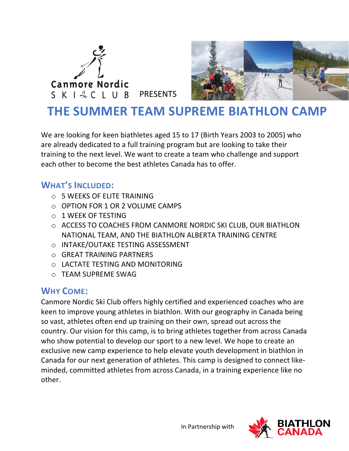



# **THE SUMMER TEAM SUPREME BIATHLON CAMP**

We are looking for keen biathletes aged 15 to 17 (Birth Years 2003 to 2005) who are already dedicated to a full training program but are looking to take their training to the next level. We want to create a team who challenge and support each other to become the best athletes Canada has to offer.

## **WHAT'S INCLUDED:**

- $\circ$  5 WEEKS OF ELITE TRAINING
- o OPTION FOR 1 OR 2 VOLUME CAMPS
- o 1 WEEK OF TESTING
- o ACCESS TO COACHES FROM CANMORE NORDIC SKI CLUB, OUR BIATHLON NATIONAL TEAM, AND THE BIATHLON ALBERTA TRAINING CENTRE
- o INTAKE/OUTAKE TESTING ASSESSMENT
- o GREAT TRAINING PARTNERS
- o LACTATE TESTING AND MONITORING
- o TEAM SUPREME SWAG

### **WHY COME:**

Canmore Nordic Ski Club offers highly certified and experienced coaches who are keen to improve young athletes in biathlon. With our geography in Canada being so vast, athletes often end up training on their own, spread out across the country. Our vision for this camp, is to bring athletes together from across Canada who show potential to develop our sport to a new level. We hope to create an exclusive new camp experience to help elevate youth development in biathlon in Canada for our next generation of athletes. This camp is designed to connect likeminded, committed athletes from across Canada, in a training experience like no other.